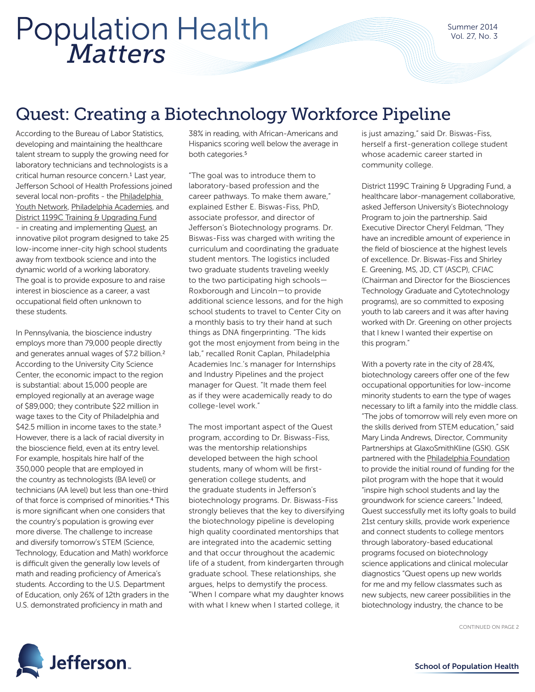## *Matters* Population Health

Summer 2014 Vol. 27, No. 3

### Quest: Creating a Biotechnology Workforce Pipeline

According to the Bureau of Labor Statistics, developing and maintaining the healthcare talent stream to supply the growing need for laboratory technicians and technologists is a critical human resource concern.<sup>1</sup> Last year, Jefferson School of Health Professions joined several local non-profits - the Philadelphia [Youth Network](http://www.pyninc.org/), [Philadelphia Academies](http://www.academiesinc.org/), and [District 1199C Training & Upgrading Fund](http://www.1199ctraining.org/) - in creating and implementing [Quest](http://technical.ly/philly/2013/02/07/quest-workready-philadelphia-biotech-program-launches-at-thomas-jefferson-university/), an innovative pilot program designed to take 25 low-income inner-city high school students away from textbook science and into the dynamic world of a working laboratory. The goal is to provide exposure to and raise interest in bioscience as a career, a vast occupational field often unknown to these students.

In Pennsylvania, the bioscience industry employs more than 79,000 people directly and generates annual wages of \$7.2 billion.2 According to the University City Science Center, the economic impact to the region is substantial: about 15,000 people are employed regionally at an average wage of \$89,000; they contribute \$22 million in wage taxes to the City of Philadelphia and \$42.5 million in income taxes to the state. $3$ However, there is a lack of racial diversity in the bioscience field, even at its entry level. For example, hospitals hire half of the 350,000 people that are employed in the country as technologists (BA level) or technicians (AA level) but less than one-third of that force is comprised of minorities.4 This is more significant when one considers that the country's population is growing ever more diverse. The challenge to increase and diversify tomorrow's STEM (Science, Technology, Education and Math) workforce is difficult given the generally low levels of math and reading proficiency of America's students. According to the U.S. Department of Education, only 26% of 12th graders in the U.S. demonstrated proficiency in math and

38% in reading, with African-Americans and Hispanics scoring well below the average in both categories.<sup>5</sup>

"The goal was to introduce them to laboratory-based profession and the career pathways. To make them aware," explained Esther E. Biswas-Fiss, PhD, associate professor, and director of Jefferson's Biotechnology programs. Dr. Biswas-Fiss was charged with writing the curriculum and coordinating the graduate student mentors. The logistics included two graduate students traveling weekly to the two participating high schools— Roxborough and Lincoln—to provide additional science lessons, and for the high school students to travel to Center City on a monthly basis to try their hand at such things as DNA fingerprinting. "The kids got the most enjoyment from being in the lab," recalled Ronit Caplan, Philadelphia Academies Inc.'s manager for Internships and Industry Pipelines and the project manager for Quest. "It made them feel as if they were academically ready to do college-level work."

The most important aspect of the Quest program, according to Dr. Biswass-Fiss, was the mentorship relationships developed between the high school students, many of whom will be firstgeneration college students, and the graduate students in Jefferson's biotechnology programs. Dr. Biswass-Fiss strongly believes that the key to diversifying the biotechnology pipeline is developing high quality coordinated mentorships that are integrated into the academic setting and that occur throughout the academic life of a student, from kindergarten through graduate school. These relationships, she argues, helps to demystify the process. "When I compare what my daughter knows with what I knew when I started college, it

is just amazing," said Dr. Biswas-Fiss, herself a first-generation college student whose academic career started in community college.

District 1199C Training & Upgrading Fund, a healthcare labor-management collaborative, asked Jefferson University's Biotechnology Program to join the partnership. Said Executive Director Cheryl Feldman, "They have an incredible amount of experience in the field of bioscience at the highest levels of excellence. Dr. Biswas-Fiss and Shirley E. Greening, MS, JD, CT (ASCP), CFIAC (Chairman and Director for the Biosciences Technology Graduate and Cytotechnology programs), are so committed to exposing youth to lab careers and it was after having worked with Dr. Greening on other projects that I knew I wanted their expertise on this program."

With a poverty rate in the city of 28.4%, biotechnology careers offer one of the few occupational opportunities for low-income minority students to earn the type of wages necessary to lift a family into the middle class. "The jobs of tomorrow will rely even more on the skills derived from STEM education," said Mary Linda Andrews, Director, Community Partnerships at GlaxoSmithKline (GSK). GSK partnered with the [Philadelphia Foundation](https://www.philafound.org/) to provide the initial round of funding for the pilot program with the hope that it would "inspire high school students and lay the groundwork for science careers." Indeed, Quest successfully met its lofty goals to build 21st century skills, provide work experience and connect students to college mentors through laboratory-based educational programs focused on biotechnology science applications and clinical molecular diagnostics "Quest opens up new worlds for me and my fellow classmates such as new subjects, new career possibilities in the biotechnology industry, the chance to be

CONTINUED ON PAGE 2